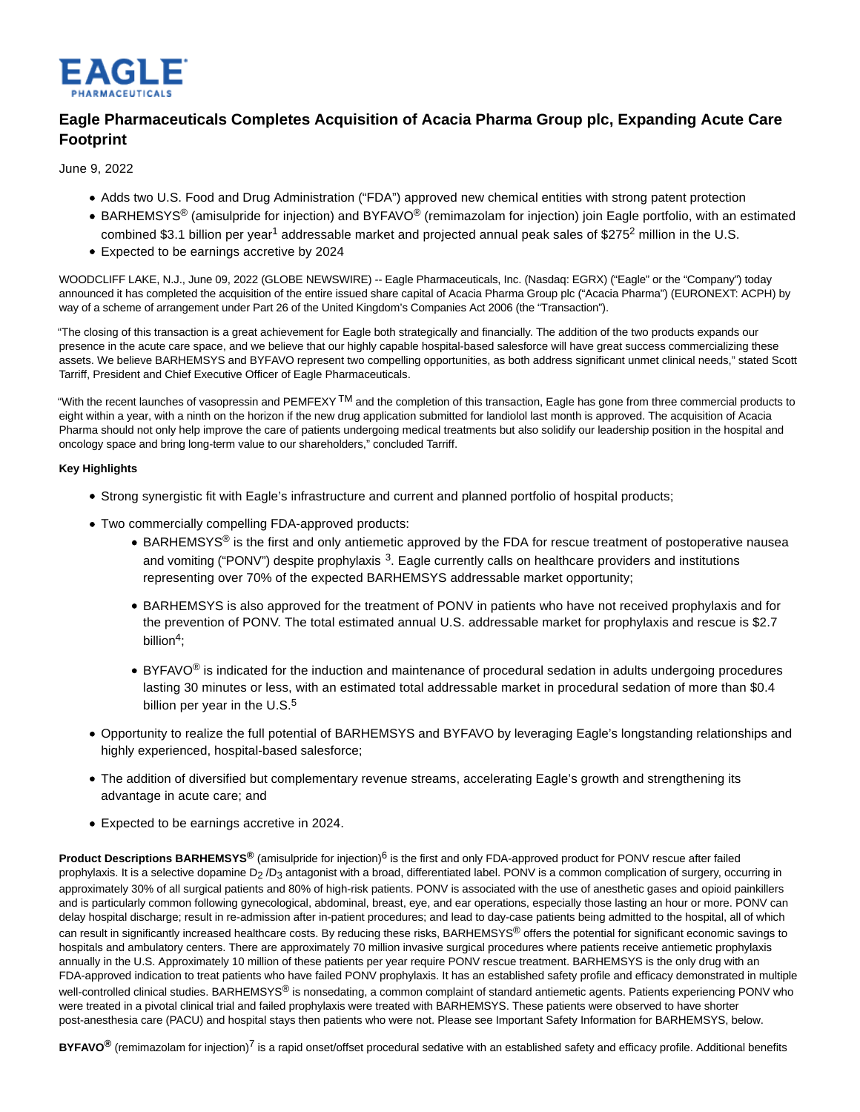

# **Eagle Pharmaceuticals Completes Acquisition of Acacia Pharma Group plc, Expanding Acute Care Footprint**

June 9, 2022

- Adds two U.S. Food and Drug Administration ("FDA") approved new chemical entities with strong patent protection
- BARHEMSYS® (amisulpride for injection) and BYFAVO® (remimazolam for injection) join Eagle portfolio, with an estimated
- combined \$3.1 billion per year<sup>1</sup> addressable market and projected annual peak sales of \$275<sup>2</sup> million in the U.S.
- Expected to be earnings accretive by 2024

WOODCLIFF LAKE, N.J., June 09, 2022 (GLOBE NEWSWIRE) -- Eagle Pharmaceuticals, Inc. (Nasdaq: EGRX) ("Eagle" or the "Company") today announced it has completed the acquisition of the entire issued share capital of Acacia Pharma Group plc ("Acacia Pharma") (EURONEXT: ACPH) by way of a scheme of arrangement under Part 26 of the United Kingdom's Companies Act 2006 (the "Transaction").

"The closing of this transaction is a great achievement for Eagle both strategically and financially. The addition of the two products expands our presence in the acute care space, and we believe that our highly capable hospital-based salesforce will have great success commercializing these assets. We believe BARHEMSYS and BYFAVO represent two compelling opportunities, as both address significant unmet clinical needs," stated Scott Tarriff, President and Chief Executive Officer of Eagle Pharmaceuticals.

"With the recent launches of vasopressin and PEMFEXY TM and the completion of this transaction, Eagle has gone from three commercial products to eight within a year, with a ninth on the horizon if the new drug application submitted for landiolol last month is approved. The acquisition of Acacia Pharma should not only help improve the care of patients undergoing medical treatments but also solidify our leadership position in the hospital and oncology space and bring long-term value to our shareholders," concluded Tarriff.

# **Key Highlights**

- Strong synergistic fit with Eagle's infrastructure and current and planned portfolio of hospital products;
- Two commercially compelling FDA-approved products:
	- $\bullet$  BARHEMSYS<sup>®</sup> is the first and only antiemetic approved by the FDA for rescue treatment of postoperative nausea and vomiting ("PONV") despite prophylaxis <sup>3</sup>. Eagle currently calls on healthcare providers and institutions representing over 70% of the expected BARHEMSYS addressable market opportunity;
	- BARHEMSYS is also approved for the treatment of PONV in patients who have not received prophylaxis and for the prevention of PONV. The total estimated annual U.S. addressable market for prophylaxis and rescue is \$2.7 billion $4$ ;
	- $\bullet$  BYFAVO<sup>®</sup> is indicated for the induction and maintenance of procedural sedation in adults undergoing procedures lasting 30 minutes or less, with an estimated total addressable market in procedural sedation of more than \$0.4 billion per year in the  $U.S.<sup>5</sup>$
- Opportunity to realize the full potential of BARHEMSYS and BYFAVO by leveraging Eagle's longstanding relationships and highly experienced, hospital-based salesforce;
- The addition of diversified but complementary revenue streams, accelerating Eagle's growth and strengthening its advantage in acute care; and
- Expected to be earnings accretive in 2024.

**Product Descriptions BARHEMSYS®** (amisulpride for injection)6 is the first and only FDA-approved product for PONV rescue after failed prophylaxis. It is a selective dopamine D<sub>2</sub> /D<sub>3</sub> antagonist with a broad, differentiated label. PONV is a common complication of surgery, occurring in approximately 30% of all surgical patients and 80% of high-risk patients. PONV is associated with the use of anesthetic gases and opioid painkillers and is particularly common following gynecological, abdominal, breast, eye, and ear operations, especially those lasting an hour or more. PONV can delay hospital discharge; result in re-admission after in-patient procedures; and lead to day-case patients being admitted to the hospital, all of which can result in significantly increased healthcare costs. By reducing these risks, BARHEMSYS<sup>®</sup> offers the potential for significant economic savings to hospitals and ambulatory centers. There are approximately 70 million invasive surgical procedures where patients receive antiemetic prophylaxis annually in the U.S. Approximately 10 million of these patients per year require PONV rescue treatment. BARHEMSYS is the only drug with an FDA-approved indication to treat patients who have failed PONV prophylaxis. It has an established safety profile and efficacy demonstrated in multiple well-controlled clinical studies. BARHEMSYS® is nonsedating, a common complaint of standard antiemetic agents. Patients experiencing PONV who were treated in a pivotal clinical trial and failed prophylaxis were treated with BARHEMSYS. These patients were observed to have shorter post-anesthesia care (PACU) and hospital stays then patients who were not. Please see Important Safety Information for BARHEMSYS, below.

**BYFAVO®** (remimazolam for injection)7 is a rapid onset/offset procedural sedative with an established safety and efficacy profile. Additional benefits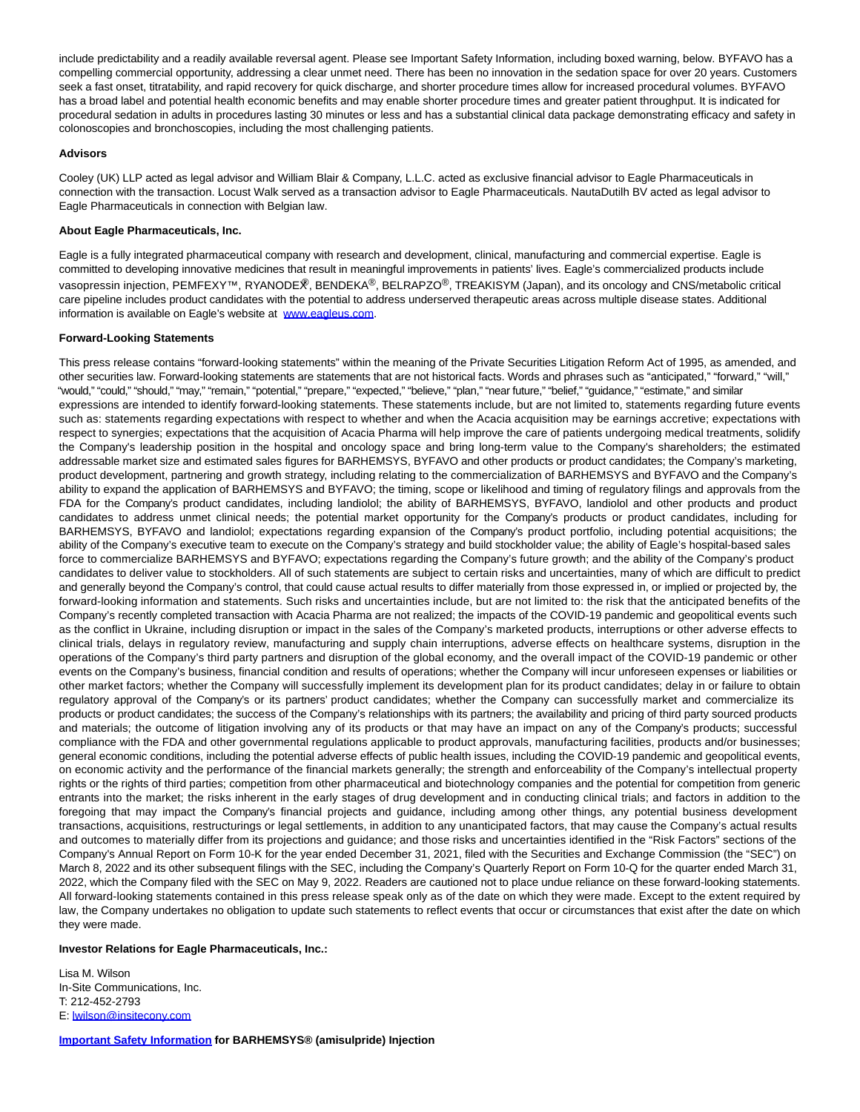include predictability and a readily available reversal agent. Please see Important Safety Information, including boxed warning, below. BYFAVO has a compelling commercial opportunity, addressing a clear unmet need. There has been no innovation in the sedation space for over 20 years. Customers seek a fast onset, titratability, and rapid recovery for quick discharge, and shorter procedure times allow for increased procedural volumes. BYFAVO has a broad label and potential health economic benefits and may enable shorter procedure times and greater patient throughput. It is indicated for procedural sedation in adults in procedures lasting 30 minutes or less and has a substantial clinical data package demonstrating efficacy and safety in colonoscopies and bronchoscopies, including the most challenging patients.

# **Advisors**

Cooley (UK) LLP acted as legal advisor and William Blair & Company, L.L.C. acted as exclusive financial advisor to Eagle Pharmaceuticals in connection with the transaction. Locust Walk served as a transaction advisor to Eagle Pharmaceuticals. NautaDutilh BV acted as legal advisor to Eagle Pharmaceuticals in connection with Belgian law.

# **About Eagle Pharmaceuticals, Inc.**

Eagle is a fully integrated pharmaceutical company with research and development, clinical, manufacturing and commercial expertise. Eagle is committed to developing innovative medicines that result in meaningful improvements in patients' lives. Eagle's commercialized products include vasopressin injection, PEMFEXY™, RYANODE $\Re$ , BENDEKA®, BELRAPZO®, TREAKISYM (Japan), and its oncology and CNS/metabolic critical care pipeline includes product candidates with the potential to address underserved therapeutic areas across multiple disease states. Additional information is available on Eagle's website at [www.eagleus.com.](https://www.globenewswire.com/Tracker?data=HEjcEOrmdKyxpFZYY_oFtvHU53Z4A_bNLL4jwZhIhjKqx54bpFqF_I6PElrV5myreUQ9g93owVThnP_Gy7ZxgA==)

# **Forward-Looking Statements**

This press release contains "forward-looking statements" within the meaning of the Private Securities Litigation Reform Act of 1995, as amended, and other securities law. Forward-looking statements are statements that are not historical facts. Words and phrases such as "anticipated," "forward," "will," "would," "could," "should," "may," "remain," "potential," "prepare," "expected," "believe," "plan," "near future," "belief," "guidance," "estimate," and similar expressions are intended to identify forward-looking statements. These statements include, but are not limited to, statements regarding future events such as: statements regarding expectations with respect to whether and when the Acacia acquisition may be earnings accretive; expectations with respect to synergies; expectations that the acquisition of Acacia Pharma will help improve the care of patients undergoing medical treatments, solidify the Company's leadership position in the hospital and oncology space and bring long-term value to the Company's shareholders; the estimated addressable market size and estimated sales figures for BARHEMSYS, BYFAVO and other products or product candidates; the Company's marketing, product development, partnering and growth strategy, including relating to the commercialization of BARHEMSYS and BYFAVO and the Company's ability to expand the application of BARHEMSYS and BYFAVO; the timing, scope or likelihood and timing of regulatory filings and approvals from the FDA for the Company's product candidates, including landiolol; the ability of BARHEMSYS, BYFAVO, landiolol and other products and product candidates to address unmet clinical needs; the potential market opportunity for the Company's products or product candidates, including for BARHEMSYS, BYFAVO and landiolol; expectations regarding expansion of the Company's product portfolio, including potential acquisitions; the ability of the Company's executive team to execute on the Company's strategy and build stockholder value; the ability of Eagle's hospital-based sales force to commercialize BARHEMSYS and BYFAVO; expectations regarding the Company's future growth; and the ability of the Company's product candidates to deliver value to stockholders. All of such statements are subject to certain risks and uncertainties, many of which are difficult to predict and generally beyond the Company's control, that could cause actual results to differ materially from those expressed in, or implied or projected by, the forward-looking information and statements. Such risks and uncertainties include, but are not limited to: the risk that the anticipated benefits of the Company's recently completed transaction with Acacia Pharma are not realized; the impacts of the COVID-19 pandemic and geopolitical events such as the conflict in Ukraine, including disruption or impact in the sales of the Company's marketed products, interruptions or other adverse effects to clinical trials, delays in regulatory review, manufacturing and supply chain interruptions, adverse effects on healthcare systems, disruption in the operations of the Company's third party partners and disruption of the global economy, and the overall impact of the COVID-19 pandemic or other events on the Company's business, financial condition and results of operations; whether the Company will incur unforeseen expenses or liabilities or other market factors; whether the Company will successfully implement its development plan for its product candidates; delay in or failure to obtain regulatory approval of the Company's or its partners' product candidates; whether the Company can successfully market and commercialize its products or product candidates; the success of the Company's relationships with its partners; the availability and pricing of third party sourced products and materials; the outcome of litigation involving any of its products or that may have an impact on any of the Company's products; successful compliance with the FDA and other governmental regulations applicable to product approvals, manufacturing facilities, products and/or businesses; general economic conditions, including the potential adverse effects of public health issues, including the COVID-19 pandemic and geopolitical events, on economic activity and the performance of the financial markets generally; the strength and enforceability of the Company's intellectual property rights or the rights of third parties; competition from other pharmaceutical and biotechnology companies and the potential for competition from generic entrants into the market; the risks inherent in the early stages of drug development and in conducting clinical trials; and factors in addition to the foregoing that may impact the Company's financial projects and guidance, including among other things, any potential business development transactions, acquisitions, restructurings or legal settlements, in addition to any unanticipated factors, that may cause the Company's actual results and outcomes to materially differ from its projections and guidance; and those risks and uncertainties identified in the "Risk Factors" sections of the Company's Annual Report on Form 10-K for the year ended December 31, 2021, filed with the Securities and Exchange Commission (the "SEC") on March 8, 2022 and its other subsequent filings with the SEC, including the Company's Quarterly Report on Form 10-Q for the quarter ended March 31, 2022, which the Company filed with the SEC on May 9, 2022. Readers are cautioned not to place undue reliance on these forward-looking statements. All forward-looking statements contained in this press release speak only as of the date on which they were made. Except to the extent required by law, the Company undertakes no obligation to update such statements to reflect events that occur or circumstances that exist after the date on which they were made.

### **Investor Relations for Eagle Pharmaceuticals, Inc.:**

Lisa M. Wilson In-Site Communications, Inc. T: 212-452-2793 E: [lwilson@insitecony.com](https://www.globenewswire.com/Tracker?data=DAE1AS3jG1fDwVAx7hV2vxTU1K7Ndl7SuTk1EBnCCZxlMoG32mxPDG5mLVaOnO7y_C8dwlVSPmEMfJ_Yzv5dGAjzqU8El8hRLz14tZODjK0=)

**[Important Safety Information](https://www.globenewswire.com/Tracker?data=EgSsmWrYNusgxp6UzoQLaoom2K8kx1MjUxajJZFBenLGEeWmqrbqr7HuOfN5owUqUYbapGo9XuiRHcgiMsQ82vQ-6pi1KWZwC4ndq3aQ5dR8fdvVAoEgovSf8F-zxg-uCSgIZBs8e1GdAx4PwMdDEwGPxiuF9cwHtb2PNzGhSFz6qVNv7n9KJRBLf-Ln_vuwv6cbUPzaxrsCBgSuRkXFiQ==) for BARHEMSYS® (amisulpride) Injection**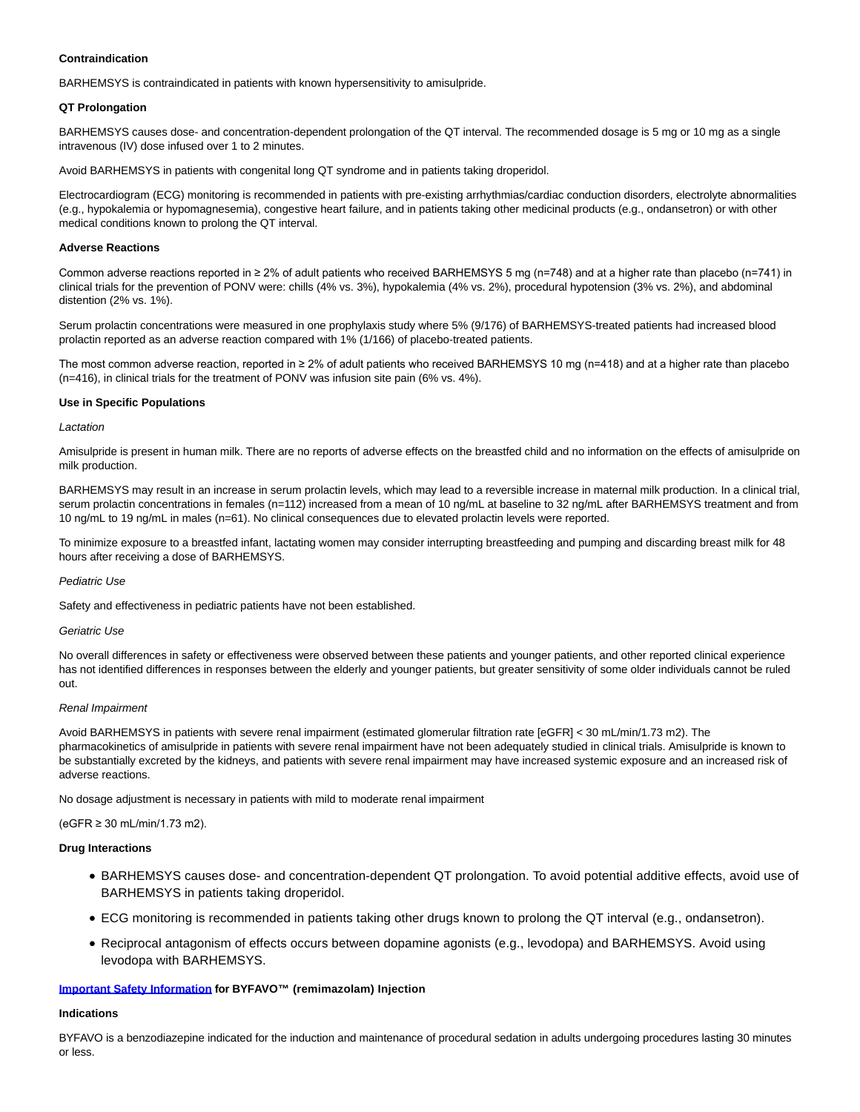# **Contraindication**

BARHEMSYS is contraindicated in patients with known hypersensitivity to amisulpride.

# **QT Prolongation**

BARHEMSYS causes dose- and concentration-dependent prolongation of the QT interval. The recommended dosage is 5 mg or 10 mg as a single intravenous (IV) dose infused over 1 to 2 minutes.

Avoid BARHEMSYS in patients with congenital long QT syndrome and in patients taking droperidol.

Electrocardiogram (ECG) monitoring is recommended in patients with pre-existing arrhythmias/cardiac conduction disorders, electrolyte abnormalities (e.g., hypokalemia or hypomagnesemia), congestive heart failure, and in patients taking other medicinal products (e.g., ondansetron) or with other medical conditions known to prolong the QT interval.

# **Adverse Reactions**

Common adverse reactions reported in ≥ 2% of adult patients who received BARHEMSYS 5 mg (n=748) and at a higher rate than placebo (n=741) in clinical trials for the prevention of PONV were: chills (4% vs. 3%), hypokalemia (4% vs. 2%), procedural hypotension (3% vs. 2%), and abdominal distention (2% vs. 1%).

Serum prolactin concentrations were measured in one prophylaxis study where 5% (9/176) of BARHEMSYS-treated patients had increased blood prolactin reported as an adverse reaction compared with 1% (1/166) of placebo-treated patients.

The most common adverse reaction, reported in ≥ 2% of adult patients who received BARHEMSYS 10 mg (n=418) and at a higher rate than placebo (n=416), in clinical trials for the treatment of PONV was infusion site pain (6% vs. 4%).

# **Use in Specific Populations**

# Lactation

Amisulpride is present in human milk. There are no reports of adverse effects on the breastfed child and no information on the effects of amisulpride on milk production.

BARHEMSYS may result in an increase in serum prolactin levels, which may lead to a reversible increase in maternal milk production. In a clinical trial, serum prolactin concentrations in females (n=112) increased from a mean of 10 ng/mL at baseline to 32 ng/mL after BARHEMSYS treatment and from 10 ng/mL to 19 ng/mL in males (n=61). No clinical consequences due to elevated prolactin levels were reported.

To minimize exposure to a breastfed infant, lactating women may consider interrupting breastfeeding and pumping and discarding breast milk for 48 hours after receiving a dose of BARHEMSYS.

### Pediatric Use

Safety and effectiveness in pediatric patients have not been established.

### Geriatric Use

No overall differences in safety or effectiveness were observed between these patients and younger patients, and other reported clinical experience has not identified differences in responses between the elderly and younger patients, but greater sensitivity of some older individuals cannot be ruled out.

### Renal Impairment

Avoid BARHEMSYS in patients with severe renal impairment (estimated glomerular filtration rate [eGFR] < 30 mL/min/1.73 m2). The pharmacokinetics of amisulpride in patients with severe renal impairment have not been adequately studied in clinical trials. Amisulpride is known to be substantially excreted by the kidneys, and patients with severe renal impairment may have increased systemic exposure and an increased risk of adverse reactions.

No dosage adjustment is necessary in patients with mild to moderate renal impairment

(eGFR ≥ 30 mL/min/1.73 m2).

# **Drug Interactions**

- BARHEMSYS causes dose- and concentration-dependent QT prolongation. To avoid potential additive effects, avoid use of BARHEMSYS in patients taking droperidol.
- ECG monitoring is recommended in patients taking other drugs known to prolong the QT interval (e.g., ondansetron).
- Reciprocal antagonism of effects occurs between dopamine agonists (e.g., levodopa) and BARHEMSYS. Avoid using levodopa with BARHEMSYS.

# **[Important Safety Information f](https://www.globenewswire.com/Tracker?data=EgSsmWrYNusgxp6UzoQLaoom2K8kx1MjUxajJZFBenKGm_WXYVrAzyFWxqjGM1S7SwCcyU7p5ycMCdZ6FfXxBv6jS-PDb7VxewY3O0a1f4nhdAFezBOScmeg1JAB49MgHq-rWs26gShQCbKePasKPbR_1zeRktst9_UNjj9Ozl0=)or BYFAVO™ (remimazolam) Injection**

### **Indications**

BYFAVO is a benzodiazepine indicated for the induction and maintenance of procedural sedation in adults undergoing procedures lasting 30 minutes or less.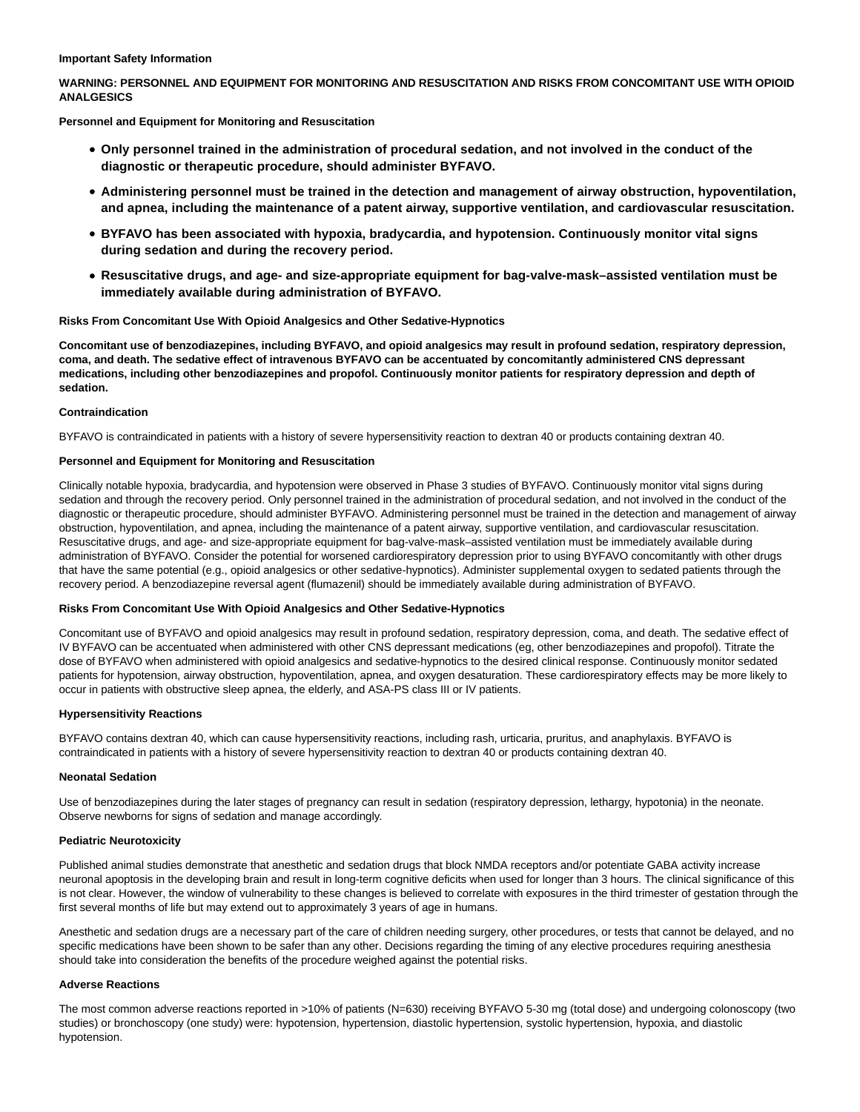### **Important Safety Information**

# **WARNING: PERSONNEL AND EQUIPMENT FOR MONITORING AND RESUSCITATION AND RISKS FROM CONCOMITANT USE WITH OPIOID ANALGESICS**

**Personnel and Equipment for Monitoring and Resuscitation**

- **Only personnel trained in the administration of procedural sedation, and not involved in the conduct of the diagnostic or therapeutic procedure, should administer BYFAVO.**
- **Administering personnel must be trained in the detection and management of airway obstruction, hypoventilation, and apnea, including the maintenance of a patent airway, supportive ventilation, and cardiovascular resuscitation.**
- **BYFAVO has been associated with hypoxia, bradycardia, and hypotension. Continuously monitor vital signs during sedation and during the recovery period.**
- **Resuscitative drugs, and age- and size-appropriate equipment for bag-valve-mask–assisted ventilation must be immediately available during administration of BYFAVO.**

# **Risks From Concomitant Use With Opioid Analgesics and Other Sedative-Hypnotics**

**Concomitant use of benzodiazepines, including BYFAVO, and opioid analgesics may result in profound sedation, respiratory depression, coma, and death. The sedative effect of intravenous BYFAVO can be accentuated by concomitantly administered CNS depressant medications, including other benzodiazepines and propofol. Continuously monitor patients for respiratory depression and depth of sedation.**

# **Contraindication**

BYFAVO is contraindicated in patients with a history of severe hypersensitivity reaction to dextran 40 or products containing dextran 40.

# **Personnel and Equipment for Monitoring and Resuscitation**

Clinically notable hypoxia, bradycardia, and hypotension were observed in Phase 3 studies of BYFAVO. Continuously monitor vital signs during sedation and through the recovery period. Only personnel trained in the administration of procedural sedation, and not involved in the conduct of the diagnostic or therapeutic procedure, should administer BYFAVO. Administering personnel must be trained in the detection and management of airway obstruction, hypoventilation, and apnea, including the maintenance of a patent airway, supportive ventilation, and cardiovascular resuscitation. Resuscitative drugs, and age- and size-appropriate equipment for bag-valve-mask–assisted ventilation must be immediately available during administration of BYFAVO. Consider the potential for worsened cardiorespiratory depression prior to using BYFAVO concomitantly with other drugs that have the same potential (e.g., opioid analgesics or other sedative-hypnotics). Administer supplemental oxygen to sedated patients through the recovery period. A benzodiazepine reversal agent (flumazenil) should be immediately available during administration of BYFAVO.

# **Risks From Concomitant Use With Opioid Analgesics and Other Sedative-Hypnotics**

Concomitant use of BYFAVO and opioid analgesics may result in profound sedation, respiratory depression, coma, and death. The sedative effect of IV BYFAVO can be accentuated when administered with other CNS depressant medications (eg, other benzodiazepines and propofol). Titrate the dose of BYFAVO when administered with opioid analgesics and sedative-hypnotics to the desired clinical response. Continuously monitor sedated patients for hypotension, airway obstruction, hypoventilation, apnea, and oxygen desaturation. These cardiorespiratory effects may be more likely to occur in patients with obstructive sleep apnea, the elderly, and ASA-PS class III or IV patients.

# **Hypersensitivity Reactions**

BYFAVO contains dextran 40, which can cause hypersensitivity reactions, including rash, urticaria, pruritus, and anaphylaxis. BYFAVO is contraindicated in patients with a history of severe hypersensitivity reaction to dextran 40 or products containing dextran 40.

# **Neonatal Sedation**

Use of benzodiazepines during the later stages of pregnancy can result in sedation (respiratory depression, lethargy, hypotonia) in the neonate. Observe newborns for signs of sedation and manage accordingly.

# **Pediatric Neurotoxicity**

Published animal studies demonstrate that anesthetic and sedation drugs that block NMDA receptors and/or potentiate GABA activity increase neuronal apoptosis in the developing brain and result in long-term cognitive deficits when used for longer than 3 hours. The clinical significance of this is not clear. However, the window of vulnerability to these changes is believed to correlate with exposures in the third trimester of gestation through the first several months of life but may extend out to approximately 3 years of age in humans.

Anesthetic and sedation drugs are a necessary part of the care of children needing surgery, other procedures, or tests that cannot be delayed, and no specific medications have been shown to be safer than any other. Decisions regarding the timing of any elective procedures requiring anesthesia should take into consideration the benefits of the procedure weighed against the potential risks.

# **Adverse Reactions**

The most common adverse reactions reported in >10% of patients (N=630) receiving BYFAVO 5-30 mg (total dose) and undergoing colonoscopy (two studies) or bronchoscopy (one study) were: hypotension, hypertension, diastolic hypertension, systolic hypertension, hypoxia, and diastolic hypotension.